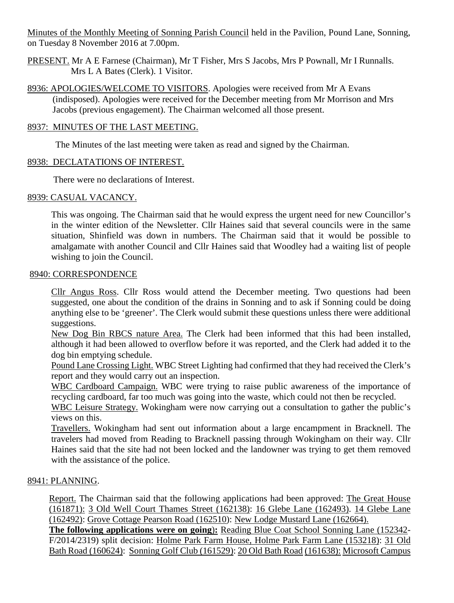Minutes of the Monthly Meeting of Sonning Parish Council held in the Pavilion, Pound Lane, Sonning, on Tuesday 8 November 2016 at 7.00pm.

- PRESENT. Mr A E Farnese (Chairman), Mr T Fisher, Mrs S Jacobs, Mrs P Pownall, Mr I Runnalls. Mrs L A Bates (Clerk). 1 Visitor.
- 8936: APOLOGIES/WELCOME TO VISITORS. Apologies were received from Mr A Evans (indisposed). Apologies were received for the December meeting from Mr Morrison and Mrs Jacobs (previous engagement). The Chairman welcomed all those present.

#### 8937: MINUTES OF THE LAST MEETING.

The Minutes of the last meeting were taken as read and signed by the Chairman.

### 8938: DECLATATIONS OF INTEREST.

There were no declarations of Interest.

### 8939: CASUAL VACANCY.

This was ongoing. The Chairman said that he would express the urgent need for new Councillor's in the winter edition of the Newsletter. Cllr Haines said that several councils were in the same situation, Shinfield was down in numbers. The Chairman said that it would be possible to amalgamate with another Council and Cllr Haines said that Woodley had a waiting list of people wishing to join the Council.

#### 8940: CORRESPONDENCE

Cllr Angus Ross. Cllr Ross would attend the December meeting. Two questions had been suggested, one about the condition of the drains in Sonning and to ask if Sonning could be doing anything else to be 'greener'. The Clerk would submit these questions unless there were additional suggestions.

New Dog Bin RBCS nature Area. The Clerk had been informed that this had been installed, although it had been allowed to overflow before it was reported, and the Clerk had added it to the dog bin emptying schedule.

Pound Lane Crossing Light. WBC Street Lighting had confirmed that they had received the Clerk's report and they would carry out an inspection.

WBC Cardboard Campaign. WBC were trying to raise public awareness of the importance of recycling cardboard, far too much was going into the waste, which could not then be recycled.

WBC Leisure Strategy. Wokingham were now carrying out a consultation to gather the public's views on this.

Travellers. Wokingham had sent out information about a large encampment in Bracknell. The travelers had moved from Reading to Bracknell passing through Wokingham on their way. Cllr Haines said that the site had not been locked and the landowner was trying to get them removed with the assistance of the police.

#### 8941: PLANNING.

Report. The Chairman said that the following applications had been approved: The Great House (161871): 3 Old Well Court Thames Street (162138): 16 Glebe Lane (162493). 14 Glebe Lane (162492): Grove Cottage Pearson Road (162510): New Lodge Mustard Lane (162664).

**The following applications were on going**)**:** Reading Blue Coat School Sonning Lane (152342- F/2014/2319) split decision: Holme Park Farm House, Holme Park Farm Lane (153218): 31 Old Bath Road (160624): Sonning Golf Club (161529): 20 Old Bath Road (161638): Microsoft Campus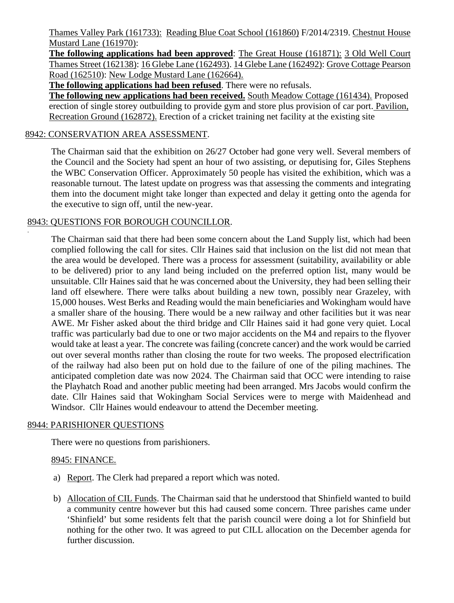Thames Valley Park (161733): Reading Blue Coat School (161860) F/2014/2319. Chestnut House Mustard Lane (161970):

**The following applications had been approved**: The Great House (161871): 3 Old Well Court Thames Street (162138): 16 Glebe Lane (162493). 14 Glebe Lane (162492): Grove Cottage Pearson Road (162510): New Lodge Mustard Lane (162664).

**The following applications had been refused**. There were no refusals.

**The following new applications had been received.** South Meadow Cottage (161434). Proposed erection of single storey outbuilding to provide gym and store plus provision of car port. Pavilion, Recreation Ground (162872). Erection of a cricket training net facility at the existing site

# 8942: CONSERVATION AREA ASSESSMENT.

The Chairman said that the exhibition on 26/27 October had gone very well. Several members of the Council and the Society had spent an hour of two assisting, or deputising for, Giles Stephens the WBC Conservation Officer. Approximately 50 people has visited the exhibition, which was a reasonable turnout. The latest update on progress was that assessing the comments and integrating them into the document might take longer than expected and delay it getting onto the agenda for the executive to sign off, until the new-year.

## 8943: QUESTIONS FOR BOROUGH COUNCILLOR.

The Chairman said that there had been some concern about the Land Supply list, which had been complied following the call for sites. Cllr Haines said that inclusion on the list did not mean that the area would be developed. There was a process for assessment (suitability, availability or able to be delivered) prior to any land being included on the preferred option list, many would be unsuitable. Cllr Haines said that he was concerned about the University, they had been selling their land off elsewhere. There were talks about building a new town, possibly near Grazeley, with 15,000 houses. West Berks and Reading would the main beneficiaries and Wokingham would have a smaller share of the housing. There would be a new railway and other facilities but it was near AWE. Mr Fisher asked about the third bridge and Cllr Haines said it had gone very quiet. Local traffic was particularly bad due to one or two major accidents on the M4 and repairs to the flyover would take at least a year. The concrete was failing (concrete cancer) and the work would be carried out over several months rather than closing the route for two weeks. The proposed electrification of the railway had also been put on hold due to the failure of one of the piling machines. The anticipated completion date was now 2024. The Chairman said that OCC were intending to raise the Playhatch Road and another public meeting had been arranged. Mrs Jacobs would confirm the date. Cllr Haines said that Wokingham Social Services were to merge with Maidenhead and Windsor. Cllr Haines would endeavour to attend the December meeting.

## 8944: PARISHIONER QUESTIONS

There were no questions from parishioners.

## 8945: FINANCE.

.

- a) Report. The Clerk had prepared a report which was noted.
- b) Allocation of CIL Funds. The Chairman said that he understood that Shinfield wanted to build a community centre however but this had caused some concern. Three parishes came under 'Shinfield' but some residents felt that the parish council were doing a lot for Shinfield but nothing for the other two. It was agreed to put CILL allocation on the December agenda for further discussion.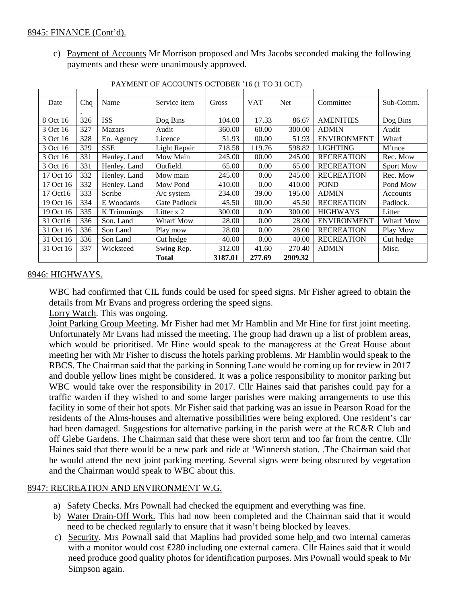c) Payment of Accounts Mr Morrison proposed and Mrs Jacobs seconded making the following payments and these were unanimously approved.

| Date      | Chq | Name          | Service item | Gross   | <b>VAT</b> | <b>Net</b> | Committee          | Sub-Comm.        |
|-----------|-----|---------------|--------------|---------|------------|------------|--------------------|------------------|
|           |     |               |              |         |            |            |                    |                  |
| 8 Oct 16  | 326 | <b>ISS</b>    | Dog Bins     | 104.00  | 17.33      | 86.67      | <b>AMENITIES</b>   | Dog Bins         |
| 3 Oct 16  | 327 | <b>Mazars</b> | Audit        | 360.00  | 60.00      | 300.00     | <b>ADMIN</b>       | Audit            |
| 3 Oct 16  | 328 | En. Agency    | Licence      | 51.93   | 00.00      | 51.93      | <b>ENVIRONMENT</b> | Wharf            |
| 3 Oct 16  | 329 | <b>SSE</b>    | Light Repair | 718.58  | 119.76     | 598.82     | <b>LIGHTING</b>    | M'tnce           |
| 3 Oct 16  | 331 | Henley. Land  | Mow Main     | 245.00  | 00.00      | 245.00     | <b>RECREATION</b>  | Rec. Mow         |
| 3 Oct 16  | 331 | Henley. Land  | Outfield.    | 65.00   | 0.00       | 65.00      | <b>RECREATION</b>  | <b>Sport Mow</b> |
| 17 Oct 16 | 332 | Henley. Land  | Mow main     | 245.00  | 0.00       | 245.00     | <b>RECREATION</b>  | Rec. Mow         |
| 17 Oct 16 | 332 | Henley. Land  | Mow Pond     | 410.00  | 0.00       | 410.00     | <b>POND</b>        | Pond Mow         |
| 17 Oct16  | 333 | Scribe        | $A/c$ system | 234.00  | 39.00      | 195.00     | <b>ADMIN</b>       | Accounts         |
| 19 Oct 16 | 334 | E Woodards    | Gate Padlock | 45.50   | 00.00      | 45.50      | <b>RECREATION</b>  | Padlock.         |
| 19 Oct 16 | 335 | K Trimmings   | Litter x 2   | 300.00  | 0.00       | 300.00     | <b>HIGHWAYS</b>    | Litter           |
| 31 Oct16  | 336 | Son. Land     | Wharf Mow    | 28.00   | 0.00       | 28.00      | <b>ENVIRONMENT</b> | Wharf Mow        |
| 31 Oct 16 | 336 | Son Land      | Play mow     | 28.00   | 0.00       | 28.00      | <b>RECREATION</b>  | Play Mow         |
| 31 Oct 16 | 336 | Son Land      | Cut hedge    | 40.00   | 0.00       | 40.00      | <b>RECREATION</b>  | Cut hedge        |
| 31 Oct 16 | 337 | Wicksteed     | Swing Rep.   | 312.00  | 41.60      | 270.40     | <b>ADMIN</b>       | Misc.            |
|           |     |               | <b>Total</b> | 3187.01 | 277.69     | 2909.32    |                    |                  |

PAYMENT OF ACCOUNTS OCTOBER '16 (1 TO 31 OCT)

## 8946: HIGHWAYS.

WBC had confirmed that CIL funds could be used for speed signs. Mr Fisher agreed to obtain the details from Mr Evans and progress ordering the speed signs.

Lorry Watch. This was ongoing.

Joint Parking Group Meeting. Mr Fisher had met Mr Hamblin and Mr Hine for first joint meeting. Unfortunately Mr Evans had missed the meeting. The group had drawn up a list of problem areas, which would be prioritised. Mr Hine would speak to the manageress at the Great House about meeting her with Mr Fisher to discuss the hotels parking problems. Mr Hamblin would speak to the RBCS. The Chairman said that the parking in Sonning Lane would be coming up for review in 2017 and double yellow lines might be considered. It was a police responsibility to monitor parking but WBC would take over the responsibility in 2017. Cllr Haines said that parishes could pay for a traffic warden if they wished to and some larger parishes were making arrangements to use this facility in some of their hot spots. Mr Fisher said that parking was an issue in Pearson Road for the residents of the Alms-houses and alternative possibilities were being explored. One resident's car had been damaged. Suggestions for alternative parking in the parish were at the RC&R Club and off Glebe Gardens. The Chairman said that these were short term and too far from the centre. Cllr Haines said that there would be a new park and ride at 'Winnersh station. .The Chairman said that he would attend the next joint parking meeting. Several signs were being obscured by vegetation and the Chairman would speak to WBC about this.

## 8947: RECREATION AND ENVIRONMENT W.G.

- a) Safety Checks. Mrs Pownall had checked the equipment and everything was fine.
- b) Water Drain-Off Work. This had now been completed and the Chairman said that it would need to be checked regularly to ensure that it wasn't being blocked by leaves.
- c) Security. Mrs Pownall said that Maplins had provided some help and two internal cameras with a monitor would cost £280 including one external camera. Cllr Haines said that it would need produce good quality photos for identification purposes. Mrs Pownall would speak to Mr Simpson again.